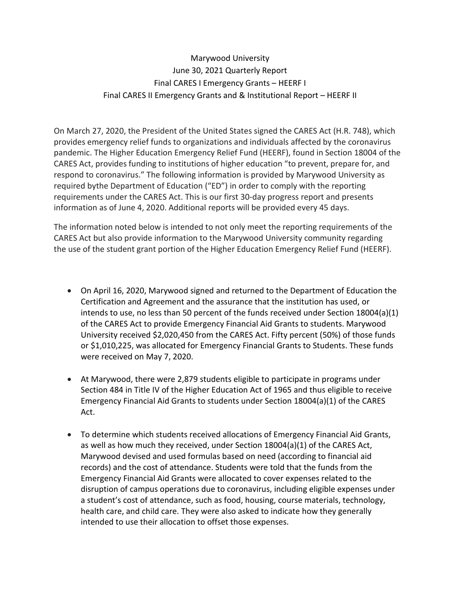## Marywood University June 30, 2021 Quarterly Report Final CARES I Emergency Grants – HEERF I Final CARES II Emergency Grants and & Institutional Report – HEERF II

On March 27, 2020, the President of the United States signed the CARES Act (H.R. 748), which provides emergency relief funds to organizations and individuals affected by the coronavirus pandemic. The Higher Education Emergency Relief Fund (HEERF), found in Section 18004 of the CARES Act, provides funding to institutions of higher education "to prevent, prepare for, and respond to coronavirus." The following information is provided by Marywood University as required bythe Department of Education ("ED") in order to comply with the reporting requirements under the CARES Act. This is our first 30-day progress report and presents information as of June 4, 2020. Additional reports will be provided every 45 days.

The information noted below is intended to not only meet the reporting requirements of the CARES Act but also provide information to the Marywood University community regarding the use of the student grant portion of the Higher Education Emergency Relief Fund (HEERF).

- On April 16, 2020, Marywood signed and returned to the Department of Education the Certification and Agreement and the assurance that the institution has used, or intends to use, no less than 50 percent of the funds received under Section 18004(a)(1) of the CARES Act to provide Emergency Financial Aid Grants to students. Marywood University received \$2,020,450 from the CARES Act. Fifty percent (50%) of those funds or \$1,010,225, was allocated for Emergency Financial Grants to Students. These funds were received on May 7, 2020.
- At Marywood, there were 2,879 students eligible to participate in programs under Section 484 in Title IV of the Higher Education Act of 1965 and thus eligible to receive Emergency Financial Aid Grants to students under Section 18004(a)(1) of the CARES Act.
- To determine which students received allocations of Emergency Financial Aid Grants, as well as how much they received, under Section 18004(a)(1) of the CARES Act, Marywood devised and used formulas based on need (according to financial aid records) and the cost of attendance. Students were told that the funds from the Emergency Financial Aid Grants were allocated to cover expenses related to the disruption of campus operations due to coronavirus, including eligible expenses under a student's cost of attendance, such as food, housing, course materials, technology, health care, and child care. They were also asked to indicate how they generally intended to use their allocation to offset those expenses.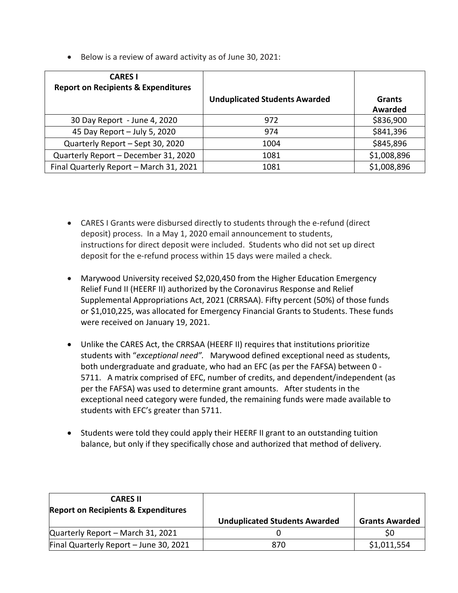• Below is a review of award activity as of June 30, 2021:

| <b>CARES I</b><br><b>Report on Recipients &amp; Expenditures</b> | <b>Unduplicated Students Awarded</b> | <b>Grants</b><br><b>Awarded</b> |
|------------------------------------------------------------------|--------------------------------------|---------------------------------|
| 30 Day Report - June 4, 2020                                     | 972                                  | \$836,900                       |
| 45 Day Report - July 5, 2020                                     | 974                                  | \$841,396                       |
| Quarterly Report - Sept 30, 2020                                 | 1004                                 | \$845,896                       |
| Quarterly Report - December 31, 2020                             | 1081                                 | \$1,008,896                     |
| Final Quarterly Report - March 31, 2021                          | 1081                                 | \$1,008,896                     |

- CARES I Grants were disbursed directly to students through the e-refund (direct deposit) process. In a May 1, 2020 email announcement to students, instructions for direct deposit were included. Students who did not set up direct deposit for the e-refund process within 15 days were mailed a check.
- Marywood University received \$2,020,450 from the Higher Education Emergency Relief Fund II (HEERF II) authorized by the Coronavirus Response and Relief Supplemental Appropriations Act, 2021 (CRRSAA). Fifty percent (50%) of those funds or \$1,010,225, was allocated for Emergency Financial Grants to Students. These funds were received on January 19, 2021.
- Unlike the CARES Act, the CRRSAA (HEERF II) requires that institutions prioritize students with "*exceptional need".* Marywood defined exceptional need as students, both undergraduate and graduate, who had an EFC (as per the FAFSA) between 0 - 5711. A matrix comprised of EFC, number of credits, and dependent/independent (as per the FAFSA) was used to determine grant amounts. After students in the exceptional need category were funded, the remaining funds were made available to students with EFC's greater than 5711.
- Students were told they could apply their HEERF II grant to an outstanding tuition balance, but only if they specifically chose and authorized that method of delivery.

| <b>CARES II</b><br><b>Report on Recipients &amp; Expenditures</b> |                                      |                       |
|-------------------------------------------------------------------|--------------------------------------|-----------------------|
|                                                                   | <b>Unduplicated Students Awarded</b> | <b>Grants Awarded</b> |
| Quarterly Report - March 31, 2021                                 |                                      |                       |
| Final Quarterly Report - June 30, 2021                            | 870                                  | \$1,011,554           |